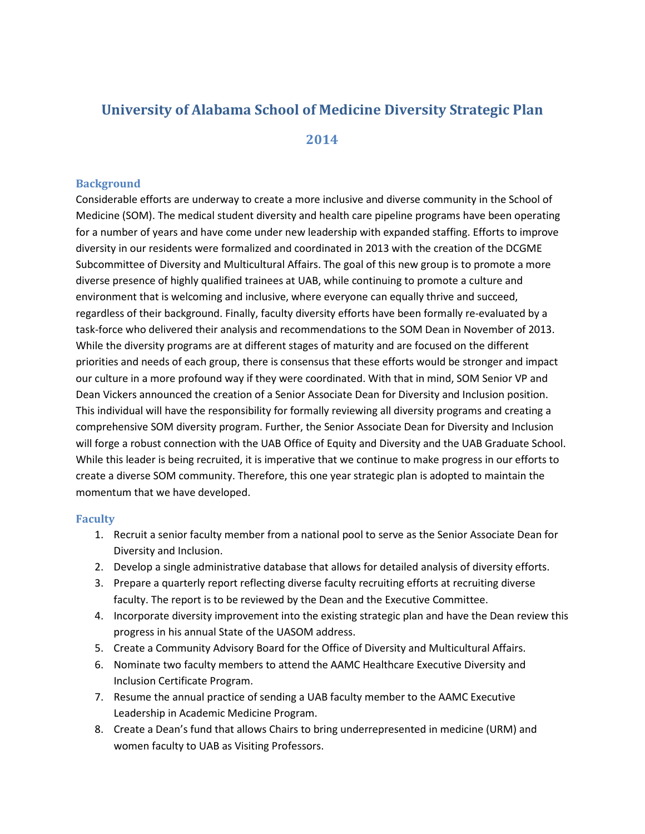# **University of Alabama School of Medicine Diversity Strategic Plan**

## **2014**

### **Background**

Considerable efforts are underway to create a more inclusive and diverse community in the School of Medicine (SOM). The medical student diversity and health care pipeline programs have been operating for a number of years and have come under new leadership with expanded staffing. Efforts to improve diversity in our residents were formalized and coordinated in 2013 with the creation of the DCGME Subcommittee of Diversity and Multicultural Affairs. The goal of this new group is to promote a more diverse presence of highly qualified trainees at UAB, while continuing to promote a culture and environment that is welcoming and inclusive, where everyone can equally thrive and succeed, regardless of their background. Finally, faculty diversity efforts have been formally re-evaluated by a task-force who delivered their analysis and recommendations to the SOM Dean in November of 2013. While the diversity programs are at different stages of maturity and are focused on the different priorities and needs of each group, there is consensus that these efforts would be stronger and impact our culture in a more profound way if they were coordinated. With that in mind, SOM Senior VP and Dean Vickers announced the creation of a Senior Associate Dean for Diversity and Inclusion position. This individual will have the responsibility for formally reviewing all diversity programs and creating a comprehensive SOM diversity program. Further, the Senior Associate Dean for Diversity and Inclusion will forge a robust connection with the UAB Office of Equity and Diversity and the UAB Graduate School. While this leader is being recruited, it is imperative that we continue to make progress in our efforts to create a diverse SOM community. Therefore, this one year strategic plan is adopted to maintain the momentum that we have developed.

#### **Faculty**

- 1. Recruit a senior faculty member from a national pool to serve as the Senior Associate Dean for Diversity and Inclusion.
- 2. Develop a single administrative database that allows for detailed analysis of diversity efforts.
- 3. Prepare a quarterly report reflecting diverse faculty recruiting efforts at recruiting diverse faculty. The report is to be reviewed by the Dean and the Executive Committee.
- 4. Incorporate diversity improvement into the existing strategic plan and have the Dean review this progress in his annual State of the UASOM address.
- 5. Create a Community Advisory Board for the Office of Diversity and Multicultural Affairs.
- 6. Nominate two faculty members to attend the AAMC Healthcare Executive Diversity and Inclusion Certificate Program.
- 7. Resume the annual practice of sending a UAB faculty member to the AAMC Executive Leadership in Academic Medicine Program.
- 8. Create a Dean's fund that allows Chairs to bring underrepresented in medicine (URM) and women faculty to UAB as Visiting Professors.